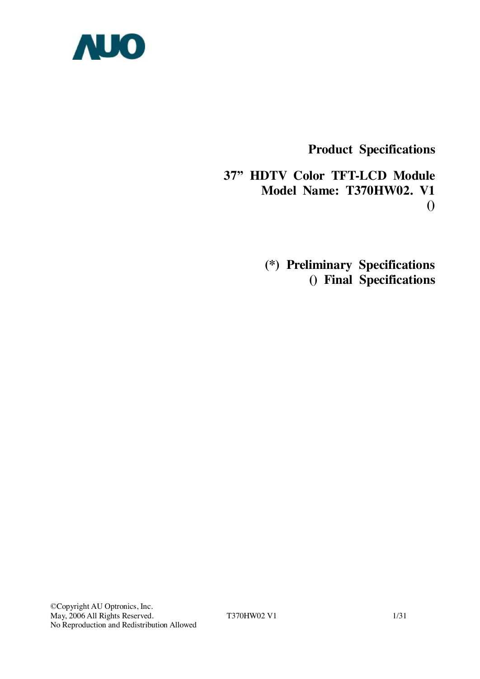

**Product Specifications** 

**37" HDTV Color TFT-LCD Module Model Name: T370HW02. V1 ()** 

> **(\*) Preliminary Specifications () Final Specifications**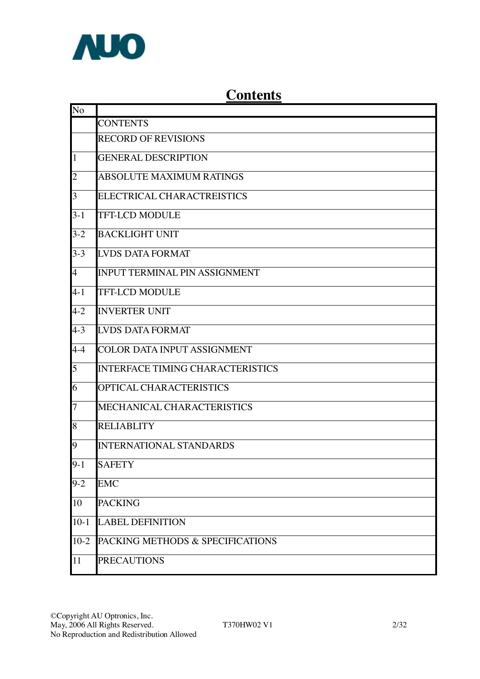

# **Contents**

| No             |                                         |
|----------------|-----------------------------------------|
|                | <b>CONTENTS</b>                         |
|                | <b>RECORD OF REVISIONS</b>              |
| $\mathbf{1}$   | <b>GENERAL DESCRIPTION</b>              |
| $\overline{c}$ | <b>ABSOLUTE MAXIMUM RATINGS</b>         |
| 3              | ELECTRICAL CHARACTREISTICS              |
| $3 - 1$        | <b>TFT-LCD MODULE</b>                   |
| $3-2$          | <b>BACKLIGHT UNIT</b>                   |
| $3 - 3$        | <b>LVDS DATA FORMAT</b>                 |
| $\overline{4}$ | <b>INPUT TERMINAL PIN ASSIGNMENT</b>    |
| $4 - 1$        | <b>TFT-LCD MODULE</b>                   |
| $4 - 2$        | <b>INVERTER UNIT</b>                    |
| $4 - 3$        | <b>LVDS DATA FORMAT</b>                 |
| $4 - 4$        | <b>COLOR DATA INPUT ASSIGNMENT</b>      |
| 5              | <b>INTERFACE TIMING CHARACTERISTICS</b> |
| 6              | OPTICAL CHARACTERISTICS                 |
| $\overline{7}$ | MECHANICAL CHARACTERISTICS              |
| 8              | <b>RELIABLITY</b>                       |
| 9              | <b>INTERNATIONAL STANDARDS</b>          |
| $9 - 1$        | <b>SAFETY</b>                           |
| $9 - 2$        | <b>EMC</b>                              |
| 10             | <b>PACKING</b>                          |
| $10-1$         | <b>LABEL DEFINITION</b>                 |
| $10-2$         | PACKING METHODS & SPECIFICATIONS        |
| 11             | <b>PRECAUTIONS</b>                      |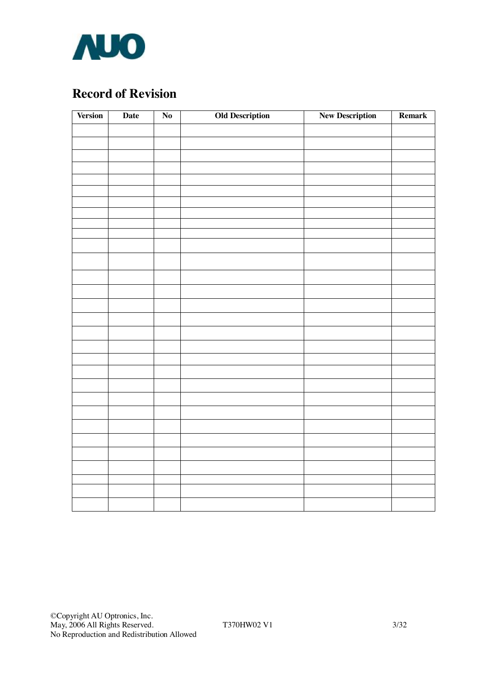

# **Record of Revision**

| <b>Version</b> | <b>Date</b> | $\overline{\text{No}}$ | <b>Old Description</b> | <b>New Description</b> | Remark |  |
|----------------|-------------|------------------------|------------------------|------------------------|--------|--|
|                |             |                        |                        |                        |        |  |
|                |             |                        |                        |                        |        |  |
|                |             |                        |                        |                        |        |  |
|                |             |                        |                        |                        |        |  |
|                |             |                        |                        |                        |        |  |
|                |             |                        |                        |                        |        |  |
|                |             |                        |                        |                        |        |  |
|                |             |                        |                        |                        |        |  |
|                |             |                        |                        |                        |        |  |
|                |             |                        |                        |                        |        |  |
|                |             |                        |                        |                        |        |  |
|                |             |                        |                        |                        |        |  |
|                |             |                        |                        |                        |        |  |
|                |             |                        |                        |                        |        |  |
|                |             |                        |                        |                        |        |  |
|                |             |                        |                        |                        |        |  |
|                |             |                        |                        |                        |        |  |
|                |             |                        |                        |                        |        |  |
|                |             |                        |                        |                        |        |  |
|                |             |                        |                        |                        |        |  |
|                |             |                        |                        |                        |        |  |
|                |             |                        |                        |                        |        |  |
|                |             |                        |                        |                        |        |  |
|                |             |                        |                        |                        |        |  |
|                |             |                        |                        |                        |        |  |
|                |             |                        |                        |                        |        |  |
|                |             |                        |                        |                        |        |  |
|                |             |                        |                        |                        |        |  |
|                |             |                        |                        |                        |        |  |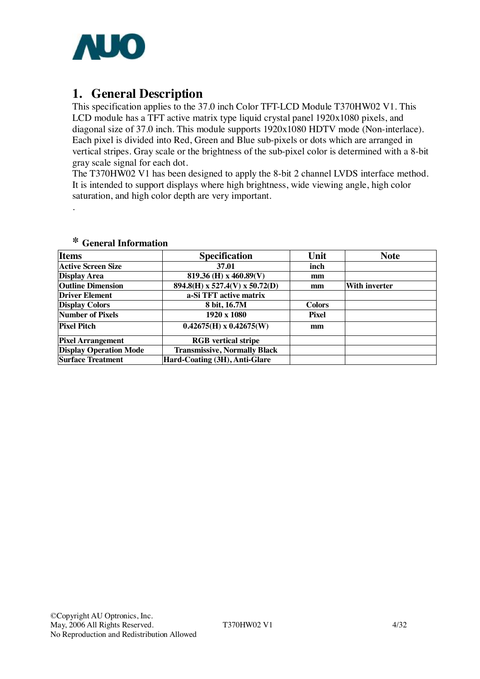

# **1. General Description**

This specification applies to the 37.0 inch Color TFT-LCD Module T370HW02 V1. This LCD module has a TFT active matrix type liquid crystal panel 1920x1080 pixels, and diagonal size of 37.0 inch. This module supports 1920x1080 HDTV mode (Non-interlace). Each pixel is divided into Red, Green and Blue sub-pixels or dots which are arranged in vertical stripes. Gray scale or the brightness of the sub-pixel color is determined with a 8-bit gray scale signal for each dot.

The T370HW02 V1 has been designed to apply the 8-bit 2 channel LVDS interface method. It is intended to support displays where high brightness, wide viewing angle, high color saturation, and high color depth are very important.

| <b>Items</b>                  | <b>Specification</b>                | Unit          | <b>Note</b>          |
|-------------------------------|-------------------------------------|---------------|----------------------|
| <b>Active Screen Size</b>     | 37.01                               | inch          |                      |
| <b>Display Area</b>           | 819.36 (H) x 460.89(V)              | mm            |                      |
| <b>Outline Dimension</b>      | $894.8(H)$ x 527.4(V) x 50.72(D)    | mm            | <b>With inverter</b> |
| <b>Driver Element</b>         | a-Si TFT active matrix              |               |                      |
| <b>Display Colors</b>         | 8 bit, 16.7M                        | <b>Colors</b> |                      |
| Number of Pixels              | $1920 \times 1080$                  | <b>Pixel</b>  |                      |
| Pixel Pitch                   | $0.42675(H) \times 0.42675(W)$      | mm            |                      |
| <b>Pixel Arrangement</b>      | <b>RGB</b> vertical stripe          |               |                      |
| <b>Display Operation Mode</b> | <b>Transmissive, Normally Black</b> |               |                      |
| <b>Surface Treatment</b>      | Hard-Coating (3H), Anti-Glare       |               |                      |

#### **\* General Information**

.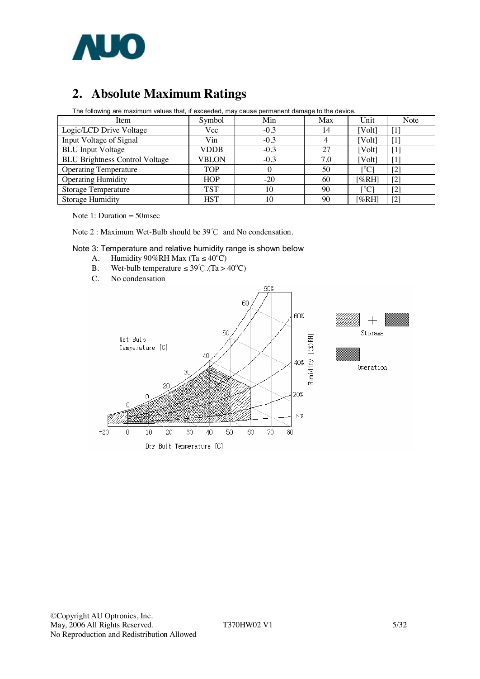

# **2. Absolute Maximum Ratings**

| The following are maximum values that, if exceeded, may cause permanent damage to the device. |            |        |     |                |                   |  |  |  |  |  |
|-----------------------------------------------------------------------------------------------|------------|--------|-----|----------------|-------------------|--|--|--|--|--|
| Item                                                                                          | Symbol     | Min    | Max | Unit           | Note              |  |  |  |  |  |
| Logic/LCD Drive Voltage                                                                       | Vcc        | $-0.3$ | 14  | [Volt]         |                   |  |  |  |  |  |
| Input Voltage of Signal                                                                       | Vin        | $-0.3$ |     | [Volt]         | $\mathbf{1}$      |  |  |  |  |  |
| <b>BLU</b> Input Voltage                                                                      | VDDB       | $-0.3$ | 27  | [Volt]         | $\mathbf{1}$      |  |  |  |  |  |
| <b>BLU Brightness Control Voltage</b>                                                         | VBLON      | $-0.3$ | 7.0 | [Volt]         | $\lceil 1 \rceil$ |  |  |  |  |  |
| <b>Operating Temperature</b>                                                                  | <b>TOP</b> | 0      | 50  | $\rm [°C]$     | $[2]$             |  |  |  |  |  |
| <b>Operating Humidity</b>                                                                     | HOP        | $-20$  | 60  | [%RH]          | $[2]$             |  |  |  |  |  |
| <b>Storage Temperature</b>                                                                    | <b>TST</b> | 10     | 90  | $\rm ^{10}C$ ] | $\left[ 2\right]$ |  |  |  |  |  |
| Storage Humidity                                                                              | HST        | 10     | 90  | [%RH]          | [2]               |  |  |  |  |  |

The following are maximum values that, if exceeded, may cause permanent damage to the device.

Note 1: Duration = 50msec

Note 2 : Maximum Wet-Bulb should be 39℃ and No condensation.

#### Note 3: Temperature and relative humidity range is shown below

- A. Humidity  $90\%RH$  Max (Ta  $\leq 40^{\circ}C$ )
- B. Wet-bulb temperature  $\leq 39^{\circ}$ C. (Ta > 40<sup>o</sup>C)
- C. No condensation

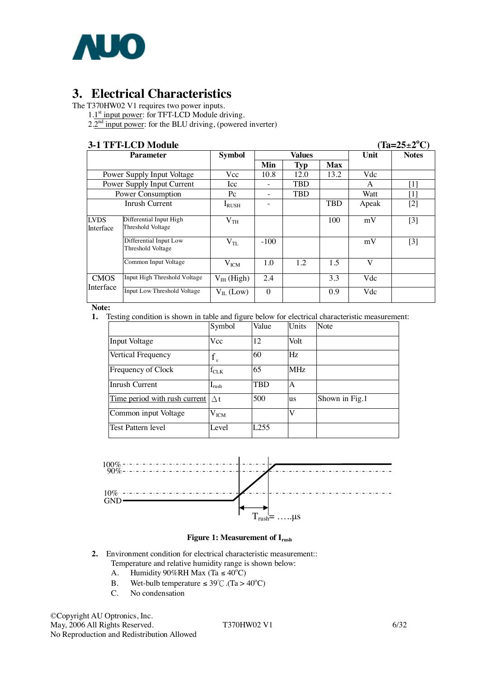

# **3. Electrical Characteristics**

The T370HW02 V1 requires two power inputs.

1.1<sup>st</sup> input power: for TFT-LCD Module driving.

 $2.2<sup>nd</sup>$  input power: for the BLU driving, (powered inverter)

**3-1 TFT-LCD Module (Ta=25**±**2<sup>o</sup>**  $(Ta=25\pm2^{\circ}C)$ **Parameter Min Typ Max**  $Notes$ Power Supply Input Voltage Vcc 10.8 12.0 13.2 Vdc Power Supply Input Current | Icc | - | TBD | | A | [1] Power Consumption  $P^c$  - TBD Watt [1] Inrush Current  $I_{\text{RUSH}}$  - TBD Apeak [2] Differential Input High Threshold Voltage  $V_{TH}$  | | 100 | mV | [3] Differential Input Low Threshold Voltage VTL -100 mV [3] LVDS Interface  $Common Input Voltage$   $V_{ICM}$  1.0 1.2 1.5 V CMOS Input High Threshold Voltage V<sub>IH</sub> (High) 2.4 3.3 Vdc Input Low Threshold Voltage  $V_{II}$  (Low) 0 0.9 Vdc

**Note:**

**1.** Testing condition is shown in table and figure below for electrical characteristic measurement:

|                               | Symbol                     | Value            | Units     | Note           |
|-------------------------------|----------------------------|------------------|-----------|----------------|
| Input Voltage                 | Vcc                        | 12               | Volt      |                |
| Vertical Frequency            | $\mathbf{V}$               | 60               | Hz        |                |
| Frequency of Clock            | $\rm{f_{CLK}}$             | 65               | MHz       |                |
| Inrush Current                | $\mathbf{I}_{\text{rush}}$ | <b>TBD</b>       | A         |                |
| Time period with rush current | $\wedge$ t                 | 500              | <b>us</b> | Shown in Fig.1 |
| Common input Voltage          | $\rm V_{ICM}$              |                  | V         |                |
| Test Pattern level            | Level                      | L <sub>255</sub> |           |                |



#### **Figure 1: Measurement of Irush**

- **2.** Environment condition for electrical characteristic measurement:: Temperature and relative humidity range is shown below:
	- A. Humidity  $90\%RH$  Max (Ta  $\leq 40^{\circ}C$ )
	- B. Wet-bulb temperature  $\leq 39^{\circ}$ C. (Ta > 40<sup>o</sup>C)
	- C. No condensation

©Copyright AU Optronics, Inc. May, 2006 All Rights Reserved. T370HW02 V1 6/32 No Reproduction and Redistribution Allowed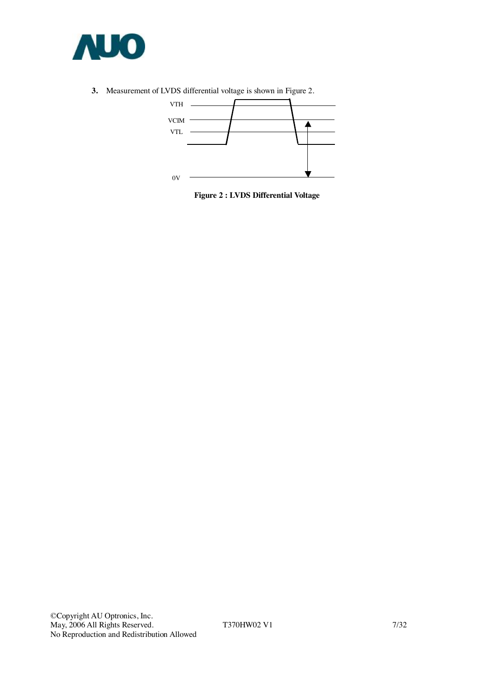

**3.** Measurement of LVDS differential voltage is shown in Figure 2.



**Figure 2 : LVDS Differential Voltage**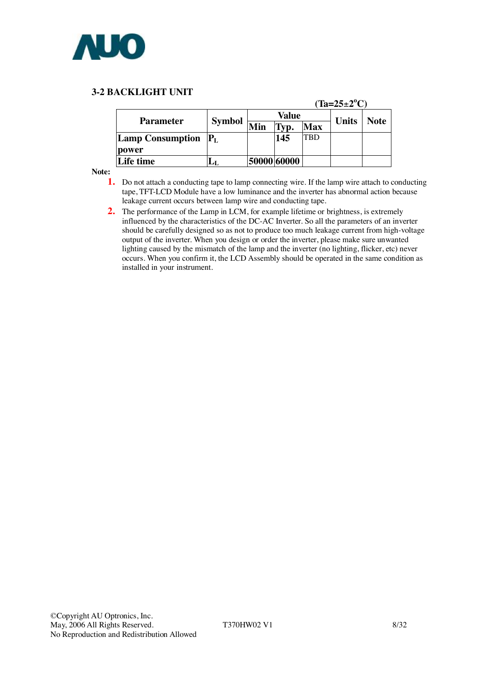

#### **3-2 BACKLIGHT UNIT**

|                               |               | $(Ta=25\pm2^{\circ}C)$ |             |              |      |  |  |  |  |  |
|-------------------------------|---------------|------------------------|-------------|--------------|------|--|--|--|--|--|
| <b>Parameter</b>              |               |                        | Value       | <b>Units</b> | Note |  |  |  |  |  |
|                               | <b>Symbol</b> | Min                    | ľур.        | <b>Max</b>   |      |  |  |  |  |  |
| <b>Lamp Consumption</b> $P_L$ |               |                        | 145         | TBD          |      |  |  |  |  |  |
| power                         |               |                        |             |              |      |  |  |  |  |  |
| Life time                     |               |                        | 50000 60000 |              |      |  |  |  |  |  |

**Note:** 

- **1.** Do not attach a conducting tape to lamp connecting wire. If the lamp wire attach to conducting tape, TFT-LCD Module have a low luminance and the inverter has abnormal action because leakage current occurs between lamp wire and conducting tape.
- **2.** The performance of the Lamp in LCM, for example lifetime or brightness, is extremely influenced by the characteristics of the DC-AC Inverter. So all the parameters of an inverter should be carefully designed so as not to produce too much leakage current from high-voltage output of the inverter. When you design or order the inverter, please make sure unwanted lighting caused by the mismatch of the lamp and the inverter (no lighting, flicker, etc) never occurs. When you confirm it, the LCD Assembly should be operated in the same condition as installed in your instrument.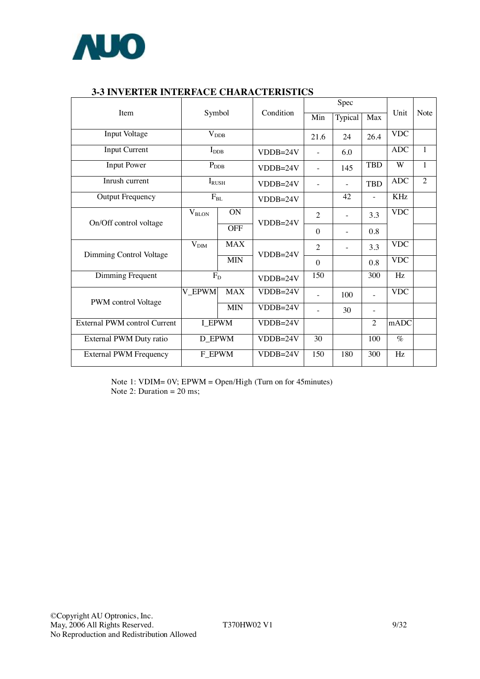

|                                     |                              |            |            |                          | Spec                     |                |                 |                |            |  |
|-------------------------------------|------------------------------|------------|------------|--------------------------|--------------------------|----------------|-----------------|----------------|------------|--|
| Item                                | Symbol                       |            | Condition  | Min                      | Typical                  | Max            | Unit            | Note           |            |  |
| <b>Input Voltage</b>                | $V_{DDB}$                    |            |            | 21.6                     | 24                       | 26.4           | <b>VDC</b>      |                |            |  |
| <b>Input Current</b>                | $I_{\rm DDB}$                |            | $VDDB=24V$ |                          | 6.0                      |                | <b>ADC</b>      | $\mathbf{1}$   |            |  |
| <b>Input Power</b>                  | $\mathbf{P}_{\text{DDB}}$    |            | $VDDB=24V$ | $\overline{\phantom{a}}$ | 145                      | <b>TBD</b>     | W               | $\mathbf{1}$   |            |  |
| Inrush current                      | $\mathbf{I}_{\textrm{RUSH}}$ |            | $VDDB=24V$ | $\qquad \qquad -$        |                          | <b>TBD</b>     | <b>ADC</b>      | $\overline{2}$ |            |  |
| <b>Output Frequency</b>             | $F_{BL}$                     |            |            |                          | $VDDB=24V$               |                | 42              |                | <b>KHz</b> |  |
| On/Off control voltage              | $V_{\rm BLON}$               | <b>ON</b>  | $VDDB=24V$ | $\overline{2}$           | $\overline{\phantom{0}}$ | 3.3            | <b>VDC</b>      |                |            |  |
|                                     |                              | <b>OFF</b> |            | $\theta$                 |                          | 0.8            |                 |                |            |  |
|                                     | V <sub>DIM</sub>             | <b>MAX</b> | $VDDB=24V$ | $\overline{2}$           | $\overline{\phantom{0}}$ | 3.3            | <b>VDC</b>      |                |            |  |
| Dimming Control Voltage             |                              | <b>MIN</b> |            | $\theta$                 |                          | 0.8            | <b>VDC</b>      |                |            |  |
| Dimming Frequent                    | $F_D$                        |            | $VDDB=24V$ | $\overline{150}$         |                          | 300            | Hz              |                |            |  |
|                                     | V_EPWM                       | <b>MAX</b> | $VDDB=24V$ |                          | 100                      | $\overline{a}$ | <b>VDC</b>      |                |            |  |
| PWM control Voltage                 |                              | <b>MIN</b> | $VDDB=24V$ |                          | 30                       |                |                 |                |            |  |
| <b>External PWM control Current</b> | <b>I_EPWM</b>                |            | $VDDB=24V$ |                          |                          | $\overline{2}$ | mADC            |                |            |  |
| External PWM Duty ratio             | <b>D_EPWM</b>                |            | $VDDB=24V$ | 30                       |                          | 100            | $\%$            |                |            |  |
| <b>External PWM Frequency</b>       | F_EPWM                       |            | $VDDB=24V$ | 150                      | 180                      | 300            | $\overline{Hz}$ |                |            |  |

### **3-3 INVERTER INTERFACE CHARACTERISTICS**

Note 1: VDIM= 0V; EPWM = Open/High (Turn on for 45minutes) Note 2: Duration  $= 20$  ms;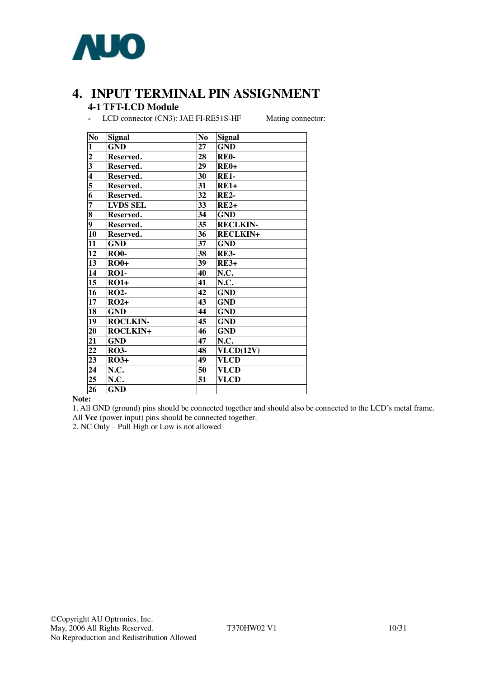

## **4. INPUT TERMINAL PIN ASSIGNMENT 4-1 TFT-LCD Module**

**-** LCD connector (CN3): JAE FI-RE51S-HF Mating connector:

| No                      | <b>Signal</b>   | N <sub>o</sub>  | Signal          |
|-------------------------|-----------------|-----------------|-----------------|
| $\mathbf{1}$            | <b>GND</b>      | 27              | <b>GND</b>      |
| $\frac{2}{3}$           | Reserved.       | 28              | <b>RE0-</b>     |
|                         | Reserved.       | 29              | <b>RE0+</b>     |
| $\overline{\mathbf{4}}$ | Reserved.       | 30              | <b>RE1-</b>     |
| 5                       | Reserved.       | 31              | $RE1+$          |
| $\overline{\bf{6}}$     | Reserved.       | 32              | <b>RE2-</b>     |
| $\overline{7}$          | <b>LVDS SEL</b> | $\overline{33}$ | $RE2+$          |
| $\overline{\bf 8}$      | Reserved.       | 34              | <b>GND</b>      |
| $\overline{9}$          | Reserved.       | 35              | <b>RECLKIN-</b> |
| 10                      | Reserved.       | $\overline{36}$ | <b>RECLKIN+</b> |
| 11                      | <b>GND</b>      | 37              | <b>GND</b>      |
| 12                      | <b>RO0-</b>     | 38              | <b>RE3-</b>     |
| 13                      | $RO0+$          | 39              | <b>RE3+</b>     |
| 14                      | <b>RO1-</b>     | 40              | N.C.            |
| 15                      | $RO1+$          | 41              | N.C.            |
| 16                      | <b>RO2-</b>     | 42              | <b>GND</b>      |
| 17                      | $RO2+$          | 43              | <b>GND</b>      |
| 18                      | <b>GND</b>      | 44              | <b>GND</b>      |
| $\overline{19}$         | <b>ROCLKIN-</b> | 45              | <b>GND</b>      |
| 20                      | <b>ROCLKIN+</b> | 46              | <b>GND</b>      |
| 21                      | <b>GND</b>      | 47              | N.C.            |
| 22                      | <b>RO3-</b>     | 48              | VLCD(12V)       |
| 23                      | $RO3+$          | 49              | <b>VLCD</b>     |
| 24                      | N.C.            | 50              | <b>VLCD</b>     |
| 25                      | N.C.            | 51              | <b>VLCD</b>     |
| 26                      | <b>GND</b>      |                 |                 |

#### **Note:**

1. All GND (ground) pins should be connected together and should also be connected to the LCD's metal frame. All **Vcc** (power input) pins should be connected together.

2. NC Only – Pull High or Low is not allowed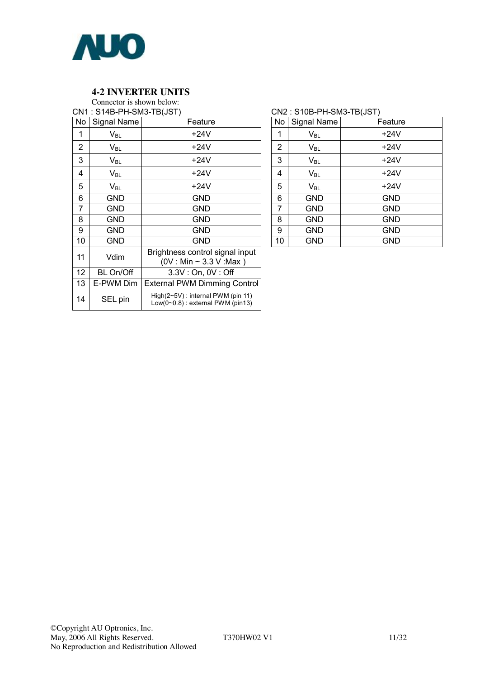

#### **4-2 INVERTER UNITS**

Connector is shown below: CN1 : S14B-PH-SM3-TB(JST)

| No | Signal Name                | Feature                                                                     |
|----|----------------------------|-----------------------------------------------------------------------------|
| 1  | $V_{BL}$                   | +24V                                                                        |
| 2  | $V_{BL}$                   | +24V                                                                        |
| 3  | $V_{BL}$                   | +24V                                                                        |
| 4  | $V_{BL}$                   | +24V                                                                        |
| 5  | $\mathsf{V}_{\mathsf{BL}}$ | +24V                                                                        |
| 6  | GND                        | GND                                                                         |
| 7  | GND                        | GND                                                                         |
| 8  | GND                        | GND                                                                         |
| 9  | <b>GND</b>                 | GND                                                                         |
| 10 | <b>GND</b>                 | <b>GND</b>                                                                  |
| 11 | Vdim                       | Brightness control signal input<br>$(0V : Min \sim 3.3 V : Max)$            |
| 12 | <b>BL On/Off</b>           | 3.3V: On, 0V: Off                                                           |
| 13 | E-PWM Dim                  | <b>External PWM Dimming Control</b>                                         |
| 14 | SEL pin                    | $High(2~5V)$ : internal PWM (pin 11)<br>$Low(0~0.8)$ : external PWM (pin13) |

#### CN2 : S10B-PH-SM3-TB(JST)

| No             | Signal Name                | Feature    |
|----------------|----------------------------|------------|
| 1              | $\mathsf{V}_{\mathsf{BL}}$ | $+24V$     |
| $\overline{2}$ | $\mathsf{V}_{\mathsf{BL}}$ | $+24V$     |
| 3              | $\mathsf{V}_{\mathsf{BL}}$ | $+24V$     |
| 4              | $\mathsf{V}_{\mathsf{BL}}$ | $+24V$     |
| 5              | $\mathsf{V}_{\mathsf{BL}}$ | $+24V$     |
| 6              | <b>GND</b>                 | <b>GND</b> |
| 7              | <b>GND</b>                 | <b>GND</b> |
| 8              | <b>GND</b>                 | <b>GND</b> |
| 9              | GND                        | <b>GND</b> |
| 10             | <b>GND</b>                 | <b>GND</b> |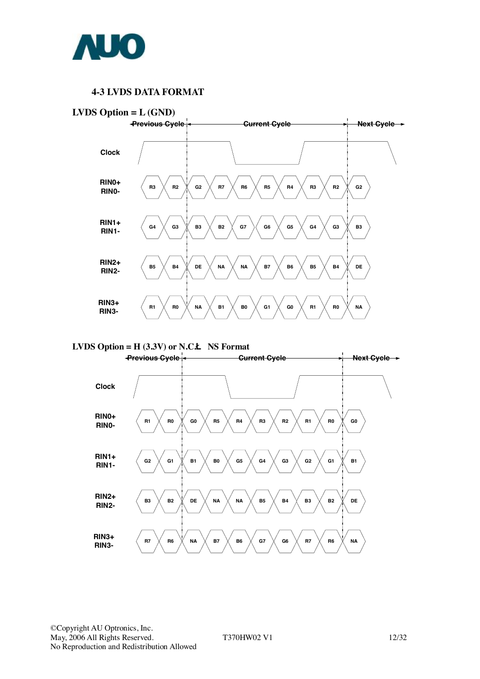

#### **4-3 LVDS DATA FORMAT**



**LVDS Option = H (3.3V) or N.C.Ë NS Format** 

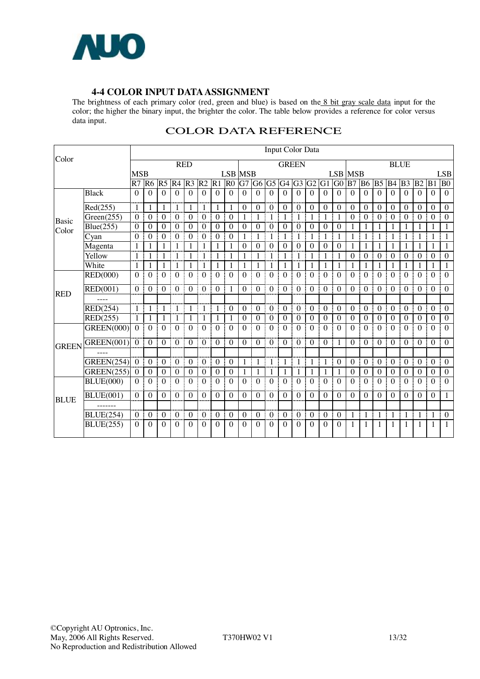

#### **4-4 COLOR INPUT DATAASSIGNMENT**

The brightness of each primary color (red, green and blue) is based on the 8 bit gray scale data input for the color; the higher the binary input, the brighter the color. The table below provides a reference for color versus data input.

|              |                   |                |                  |                  |                  |                         |                  |                  |                  |                  |                  |                  | Input Color Data |                  |                  |                  |                  |                  |                  |                  |                  |                  |                  |                  |                  |
|--------------|-------------------|----------------|------------------|------------------|------------------|-------------------------|------------------|------------------|------------------|------------------|------------------|------------------|------------------|------------------|------------------|------------------|------------------|------------------|------------------|------------------|------------------|------------------|------------------|------------------|------------------|
| Color        |                   |                |                  |                  |                  | <b>RED</b>              |                  |                  |                  |                  |                  |                  | <b>GREEN</b>     |                  |                  |                  |                  |                  |                  |                  |                  | <b>BLUE</b>      |                  |                  |                  |
|              |                   | <b>MSB</b>     |                  |                  |                  |                         |                  |                  | <b>LSB MSB</b>   |                  |                  |                  |                  |                  |                  |                  |                  | <b>LSB MSB</b>   |                  |                  |                  |                  |                  |                  | <b>LSB</b>       |
|              |                   | R7 R6          |                  | <b>R5 R4</b>     |                  | R <sub>3</sub>          | R <sub>2</sub>   | $R1$ $R0$        |                  |                  | G7 G6 G5         |                  | $G4$ $G3$ $G2$   |                  |                  | $G1$ $G0$        |                  | B7               | B <sub>6</sub>   | B <sub>5</sub>   | <b>B</b> 4       | B <sub>3</sub>   | B2               | B1               | B <sub>0</sub>   |
|              | <b>Black</b>      | $\Omega$       | $\Omega$         | $\Omega$         | $\Omega$         | $\Omega$                | $\Omega$         | $\Omega$         | $\Omega$         | $\Omega$         | $\Omega$         | $\Omega$         | $\theta$         | $\Omega$         | $\Omega$         | $\Omega$         | $\Omega$         | $\Omega$         | $\Omega$         | $\theta$         | $\Omega$         | $\Omega$         | $\Omega$         | $\Omega$         | $\overline{0}$   |
|              | Red(255)          | $\mathbf{1}$   | $\mathbf{1}$     |                  | 1                |                         | 1                | 1                | 1                | $\mathbf{0}$     | $\theta$         | $\theta$         | $\theta$         | $\theta$         | $\theta$         | $\mathbf{0}$     | $\theta$         | $\boldsymbol{0}$ | $\theta$         | $\theta$         | $\theta$         | $\boldsymbol{0}$ | $\theta$         | $\theta$         | $\boldsymbol{0}$ |
| Basic        | Green(255)        | $\theta$       | $\boldsymbol{0}$ | $\theta$         | $\mathbf{0}$     | $\theta$                | $\mathbf{0}$     | $\theta$         | $\boldsymbol{0}$ |                  | 1                |                  | 1                | 1                | 1                | 1                | 1                | $\theta$         | $\theta$         | $\theta$         | $\theta$         | $\theta$         | $\theta$         | $\theta$         | $\boldsymbol{0}$ |
| Color        | Blue(255)         | $\overline{0}$ | $\boldsymbol{0}$ | $\theta$         | $\boldsymbol{0}$ | $\theta$                | $\boldsymbol{0}$ | $\boldsymbol{0}$ | $\Omega$         | $\boldsymbol{0}$ | $\Omega$         | $\theta$         | $\mathbf{0}$     | $\theta$         | $\boldsymbol{0}$ | $\theta$         | $\mathbf{0}$     | 1                | 1                |                  | 1                |                  | 1                | 1                | 1                |
|              | Cyan              | $\theta$       | $\theta$         | $\Omega$         | $\theta$         | $\theta$                | $\boldsymbol{0}$ | $\theta$         | $\Omega$         | 1                | 1                | 1                | 1                | 1                | 1                | 1                | 1                | 1                | 1                | 1                | 1                |                  | 1                | 1                | 1                |
|              | Magenta           | 1              | 1                |                  |                  |                         | 1                |                  | 1                | $\theta$         | $\theta$         | $\theta$         | $\theta$         | $\Omega$         | $\theta$         | $\Omega$         | $\theta$         | 1                | 1                | 1                | 1                |                  | 1                |                  | 1                |
|              | Yellow            |                | 1                |                  | 1                |                         | 1                | 1                | 1                | 1                | 1                | 1                | 1                | 1                | 1                | 1                | 1                | $\boldsymbol{0}$ | $\boldsymbol{0}$ | $\boldsymbol{0}$ | $\boldsymbol{0}$ | $\boldsymbol{0}$ | $\boldsymbol{0}$ | $\mathbf{0}$     | $\boldsymbol{0}$ |
|              | White             |                | 1                |                  |                  |                         | 1                |                  | 1                |                  | 1                |                  | 1                |                  | 1                |                  | 1                |                  | 1                | 1                | 1                |                  | 1                |                  | 1                |
|              | RED(000)          | $\Omega$       | $\mathbf{0}$     | $\Omega$         | $\Omega$         | $\Omega$                | $\Omega$         | $\Omega$         | $\Omega$         | $\Omega$         | $\Omega$         | $\Omega$         | $\Omega$         | $\Omega$<br>i    | $\Omega$         | $\Omega$<br>i    | $\Omega$         | $\Omega$         | $\Omega$         | $\Omega$         | $\Omega$         | $\Omega$         | $\Omega$         | $\Omega$<br>ŧ    | $\Omega$         |
| <b>RED</b>   | <b>RED(001)</b>   | $\Omega$       | $\theta$         | $\Omega$         | $\theta$         | $\theta$                | $\theta$         | $\theta$         | 1                | $\Omega$         | $\Omega$         | $\Omega$         | $\theta$         | $\theta$         | $\theta$         | $\theta$         | $\theta$         | $\theta$         | $\Omega$         | $\theta$         | $\theta$         | $\theta$         | $\Omega$         | $\theta$         | $\theta$         |
|              |                   |                |                  |                  |                  |                         |                  |                  |                  |                  |                  |                  |                  |                  |                  |                  |                  |                  |                  |                  |                  |                  |                  |                  |                  |
|              | RED(254)          |                | $\mathbf{1}$     |                  | 1                | $\mathbf{1}$            | $\mathbf{1}$     | $\mathbf{1}$     | $\Omega$         | $\Omega$         | $\theta$         | $\Omega$         | $\theta$         | $\theta$         | $\theta$         | $\theta$<br>ĵ    | $\theta$         | $\boldsymbol{0}$ | $\overline{0}$   | $\theta$         | $\boldsymbol{0}$ | $\boldsymbol{0}$ | $\boldsymbol{0}$ | $\boldsymbol{0}$ | $\boldsymbol{0}$ |
|              | RED(255)          |                | 1                |                  | 1                | $\overline{\mathbf{1}}$ | 1                | $\mathbf{1}$     | 1                | $\boldsymbol{0}$ | $\boldsymbol{0}$ | $\boldsymbol{0}$ | $\boldsymbol{0}$ | $\boldsymbol{0}$ | $\mathbf{0}$     | $\boldsymbol{0}$ | $\boldsymbol{0}$ | $\boldsymbol{0}$ | $\boldsymbol{0}$ | $\boldsymbol{0}$ | $\boldsymbol{0}$ | $\boldsymbol{0}$ | $\boldsymbol{0}$ | $\mathbf{0}$     | $\boldsymbol{0}$ |
|              | <b>GREEN(000)</b> | $\theta$       | $\boldsymbol{0}$ | $\theta$         | $\boldsymbol{0}$ | $\theta$                | $\theta$         | $\theta$         | $\Omega$         | $\theta$         | $\Omega$         | $\theta$         | $\mathbf{0}$     | $\theta$         | $\theta$         | $\theta$         | $\theta$         | $\theta$         | $\Omega$         | $\theta$         | $\Omega$         | $\theta$         | $\theta$         | $\theta$         | $\mathbf{0}$     |
| <b>GREEN</b> | <b>GREEN(001)</b> | $\theta$       | $\boldsymbol{0}$ | $\theta$         | $\boldsymbol{0}$ | $\theta$                | $\boldsymbol{0}$ | $\theta$         | $\Omega$         | $\theta$         | $\theta$         | $\Omega$         | $\theta$<br>I    | $\theta$         | $\theta$<br>j    | $\theta$         | 1                | $\theta$         | $\theta$         | $\theta$         | $\theta$         | $\theta$         | $\theta$         | $\theta$         | $\theta$         |
|              |                   |                |                  |                  |                  |                         |                  |                  |                  |                  |                  |                  |                  |                  |                  |                  |                  |                  |                  |                  |                  |                  |                  |                  |                  |
|              | <b>GREEN(254)</b> | $\theta$       | $\theta$         | $\theta$         | $\theta$         | $\Omega$                | $\theta$         | $\theta$         | $\theta$         |                  | 1                | 1                | 1                | 1<br>I           | $\mathbf{1}$     | 1                | $\theta$         | $\theta$         | $\theta$         | $\theta$         | $\theta$         | $\theta$         | $\theta$<br>I    | $\theta$         | $\theta$         |
|              | GREEN(255)        | $\overline{0}$ | $\boldsymbol{0}$ | $\boldsymbol{0}$ | $\bf{0}$         | $\boldsymbol{0}$        | $\boldsymbol{0}$ | $\boldsymbol{0}$ | $\boldsymbol{0}$ | 1                | 1                | 1                | 1                | 1                | 1                | 1                | -1               | $\boldsymbol{0}$ | $\boldsymbol{0}$ | $\boldsymbol{0}$ | $\boldsymbol{0}$ | $\boldsymbol{0}$ | $\bf{0}$         | $\boldsymbol{0}$ | $\boldsymbol{0}$ |
|              | <b>BLUE(000)</b>  | $\Omega$       | $\theta$         | $\Omega$         | $\theta$         | $\Omega$                | $\theta$         | $\Omega$         | $\Omega$         | $\Omega$         | $\Omega$         | $\Omega$         | $\Omega$         | $\Omega$         | $\theta$         | $\Omega$<br>j    | $\Omega$         | $\Omega$         | $\Omega$         | $\Omega$         | $\Omega$         | $\Omega$         | $\Omega$<br>I    | $\Omega$         | $\Omega$         |
| <b>BLUE</b>  | <b>BLUE(001)</b>  | $\theta$       | $\boldsymbol{0}$ | $\theta$         | $\theta$         | $\boldsymbol{0}$        | $\boldsymbol{0}$ | $\boldsymbol{0}$ | $\Omega$         | $\theta$         | $\theta$         | $\theta$         | $\theta$         | $\theta$         | $\theta$         | $\theta$         | $\theta$         | $\theta$         | $\theta$         | $\theta$         | $\theta$         | $\theta$         | $\theta$         | $\boldsymbol{0}$ | $\mathbf{1}$     |
|              |                   |                |                  |                  |                  |                         |                  |                  |                  |                  |                  |                  |                  |                  |                  |                  |                  |                  |                  |                  |                  |                  |                  |                  |                  |
|              | <b>BLUE(254)</b>  | $\theta$       | $\boldsymbol{0}$ | $\theta$         | $\theta$         | $\theta$                | $\boldsymbol{0}$ | $\boldsymbol{0}$ | $\theta$         | $\boldsymbol{0}$ | $\theta$         | $\theta$         | $\theta$<br>I    | $\theta$         | $\theta$<br>I    | $\boldsymbol{0}$ | $\theta$         | $\mathbf{1}$     | $\mathbf{1}$     | 1                | $\mathbf{1}$     | 1                | 1                | $\mathbf{1}$     | $\boldsymbol{0}$ |
|              | <b>BLUE(255)</b>  | $\Omega$       | $\theta$         | $\Omega$         | $\Omega$         | $\Omega$                | $\Omega$         | $\Omega$         | $\Omega$         | $\Omega$         | $\theta$         | $\Omega$         | $\Omega$<br>÷    | $\Omega$         | $\Omega$<br>÷    | $\Omega$         | $\Omega$         | 1                | 1                | 1                | 1                | 1                | 1                | $\mathbf{1}$     | $\mathbf{1}$     |

### COLOR DATA REFERENCE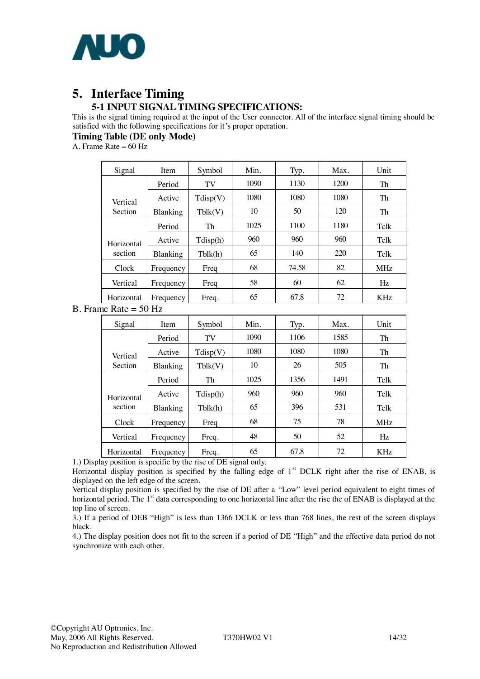

## **5. Interface Timing 5-1 INPUT SIGNAL TIMING SPECIFICATIONS:**

This is the signal timing required at the input of the User connector. All of the interface signal timing should be satisfied with the following specifications for it's proper operation.

**Timing Table (DE only Mode)**

A. Frame Rate  $= 60$  Hz

| Signal         | Item      | Symbol   | Min. | Typ.  | Max. | Unit       |
|----------------|-----------|----------|------|-------|------|------------|
|                | Period    | TV       | 1090 | 1130  | 1200 | Th         |
| Vertical       | Active    | Tdisp(V) | 1080 | 1080  | 1080 | Th         |
| <b>Section</b> | Blanking  | Tblk(V)  | 10   | 50    | 120  | Th         |
|                | Period    | Th       | 1025 | 1100  | 1180 | Telk       |
| Horizontal     | Active    | Tdisp(h) | 960  | 960   | 960  | Telk       |
| section        | Blanking  | Tblk(h)  | 65   | 140   | 220  | Telk       |
| Clock          | Frequency | Freq     | 68   | 74.58 | 82   | <b>MHz</b> |
| Vertical       | Frequency | Freq     | 58   | 60    | 62   | Hz         |
| Horizontal     | Frequency | Freq.    | 65   | 67.8  | 72   | <b>KHz</b> |

B. Frame Rate = 50 Hz

| Signal     | Item      | Symbol   | Min. | Typ. | Max. | Unit       |
|------------|-----------|----------|------|------|------|------------|
|            | Period    | TV       | 1090 | 1106 | 1585 | Th         |
| Vertical   | Active    | Tdisp(V) | 1080 | 1080 | 1080 | Th         |
| Section    | Blanking  | Tblk(V)  | 10   | 26   | 505  | Th         |
|            | Period    | Th       | 1025 | 1356 | 1491 | Telk       |
| Horizontal | Active    | Tdisp(h) | 960  | 960  | 960  | Telk       |
| section    | Blanking  | Tblk(h)  | 65   | 396  | 531  | Telk       |
| Clock      | Frequency | Freq     | 68   | 75   | 78   | <b>MHz</b> |
| Vertical   | Frequency | Freq.    | 48   | 50   | 52   | Hz         |
| Horizontal | Frequency | Freq.    | 65   | 67.8 | 72   | KHz        |

1.) Display position is specific by the rise of DE signal only.

Horizontal display position is specified by the falling edge of 1<sup>st</sup> DCLK right after the rise of ENAB, is displayed on the left edge of the screen.

Vertical display position is specified by the rise of DE after a "Low" level period equivalent to eight times of horizontal period. The 1<sup>st</sup> data corresponding to one horizontal line after the rise the of ENAB is displayed at the top line of screen.

3.) If a period of DEB "High" is less than 1366 DCLK or less than 768 lines, the rest of the screen displays black.

4.) The display position does not fit to the screen if a period of DE "High" and the effective data period do not synchronize with each other.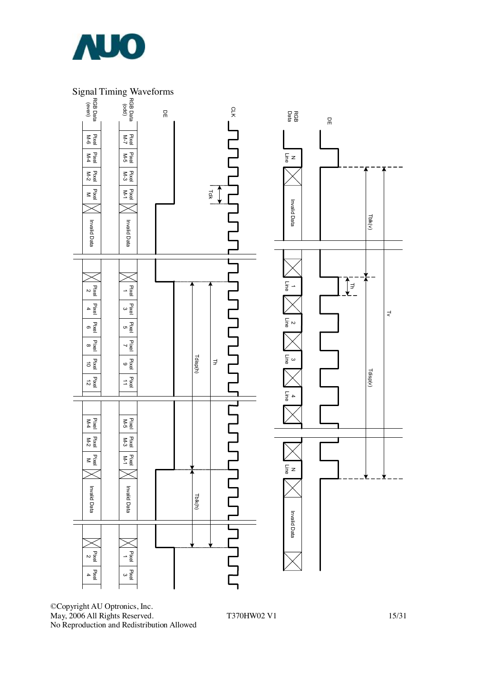

### Signal Timing Waveforms



©Copyright AU Optronics, Inc. May, 2006 All Rights Reserved. T370HW02 V1 15/31 No Reproduction and Redistribution Allowed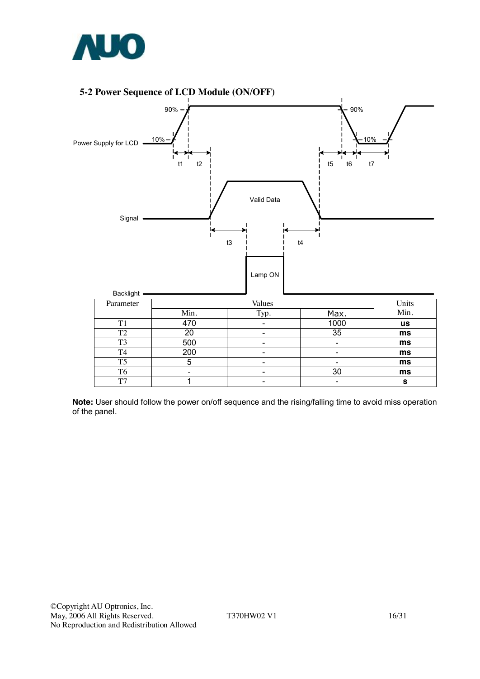

#### **5-2 Power Sequence of LCD Module (ON/OFF)**



**Note:** User should follow the power on/off sequence and the rising/falling time to avoid miss operation of the panel.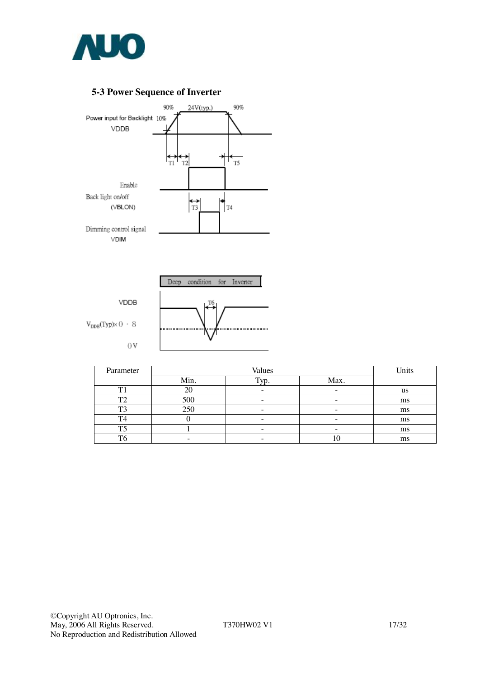

## **5-3 Power Sequence of Inverter**





| Parameter | Values |      |      | Units |
|-----------|--------|------|------|-------|
|           | Min.   | Typ. | Max. |       |
| m.        |        |      |      | us    |
| ጥኅ        | 500    |      |      | ms    |
| mл        | 250    |      |      | ms    |
| T4        |        |      |      | ms    |
| T.        |        |      |      | ms    |
| π.        |        |      |      | ms    |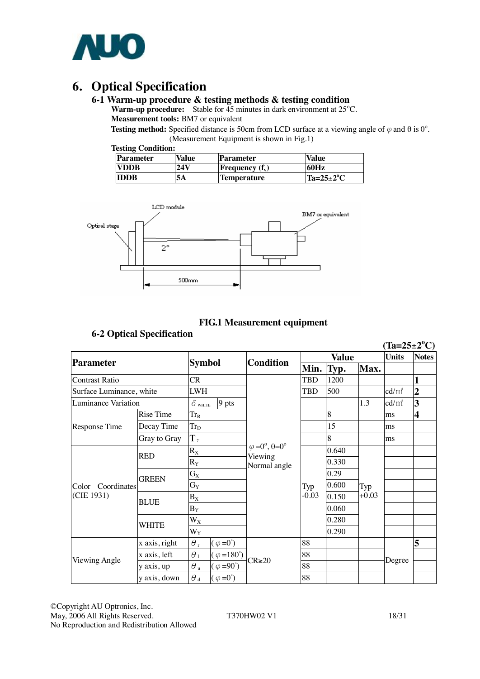

# **6. Optical Specification**

#### **6-1 Warm-up procedure & testing methods & testing condition**

Warm-up procedure: Stable for 45 minutes in dark environment at 25°C. **Measurement tools:** BM7 or equivalent

**Testing method:** Specified distance is 50cm from LCD surface at a viewing angle of  $\varphi$  and  $\theta$  is 0°. (Measurement Equipment is shown in Fig.1)

|  | <b>Testing Condition:</b> |
|--|---------------------------|
|--|---------------------------|

| <b>Parameter</b> | Value | Parameter                | <b>Value</b>         |
|------------------|-------|--------------------------|----------------------|
| <b>EVDDB</b>     | 24 V  | <b>Frequency</b> $(f_v)$ | 60Hz                 |
| <b>IDDB</b>      | 5Α    | <b>Temperature</b>       | $Ta=25\pm2\degree C$ |



#### **FIG.1 Measurement equipment**

#### **6-2 Optical Specification**

|                          |               |                         |                           |                                                                  |             |       |         | $(Ta=25\pm2^{\circ}C)$ |                         |
|--------------------------|---------------|-------------------------|---------------------------|------------------------------------------------------------------|-------------|-------|---------|------------------------|-------------------------|
| <b>Parameter</b>         |               | <b>Symbol</b>           |                           |                                                                  | Value       |       |         | <b>Units</b>           | <b>Notes</b>            |
|                          |               |                         |                           | <b>Condition</b>                                                 | Min.        | Typ.  | Max.    |                        |                         |
| <b>Contrast Ratio</b>    |               |                         |                           |                                                                  | <b>TBD</b>  | 1200  |         |                        |                         |
| Surface Luminance, white |               | <b>LWH</b>              |                           |                                                                  | <b>TBD</b>  | 500   |         | $\text{cd/m}^2$        | $\overline{2}$          |
| Luminance Variation      |               | $\delta$ white          | 9 pts                     |                                                                  |             |       | 1.3     | $\text{cd/m}^2$        | 3                       |
|                          | Rise Time     | $Tr_R$                  |                           |                                                                  |             | 8     |         | ms                     | $\overline{\mathbf{4}}$ |
| Response Time            | Decay Time    | <b>Trp</b>              |                           |                                                                  |             | 15    |         | ms                     |                         |
|                          | Gray to Gray  | $T_{\gamma}$            |                           |                                                                  |             | 8     |         | ms                     |                         |
|                          |               | $\mathbf{R}_\mathrm{X}$ |                           | $\varphi = 0^\circ, \theta = 0^\circ$<br>Viewing<br>Normal angle | 0.29<br>Typ | 0.640 |         |                        |                         |
|                          | <b>RED</b>    | $R_Y$                   |                           |                                                                  |             | 0.330 | Typ     |                        |                         |
|                          |               | $\mathbf{G}_\mathbf{X}$ |                           |                                                                  |             |       |         |                        |                         |
| Color Coordinates        | <b>GREEN</b>  | $G_Y$                   |                           |                                                                  |             | 0.600 |         |                        |                         |
| (CIE 1931)               | <b>BLUE</b>   | $B_X$                   |                           |                                                                  | $-0.03$     | 0.150 | $+0.03$ |                        |                         |
|                          |               | $B_Y$                   |                           |                                                                  |             | 0.060 |         |                        |                         |
|                          | WHITE         | $W_X$                   |                           |                                                                  |             | 0.280 |         |                        |                         |
|                          |               | $W_Y$                   |                           |                                                                  |             | 0.290 |         |                        |                         |
|                          | x axis, right | $\theta$ r              | $(\varphi = 0^{\circ})$   |                                                                  | 88          |       |         |                        | 5                       |
|                          | x axis, left  | $\theta_1$              | $(\varphi = 180^{\circ})$ | $CR \ge 20$                                                      | 88          |       |         | Degree                 |                         |
| Viewing Angle            | y axis, up    | $\theta$ u              | $(\varphi = 90^{\circ})$  |                                                                  | 88          |       |         |                        |                         |
|                          | y axis, down  | $\theta$ d              | $(\varphi = 0^{\circ})$   |                                                                  | 88          |       |         |                        |                         |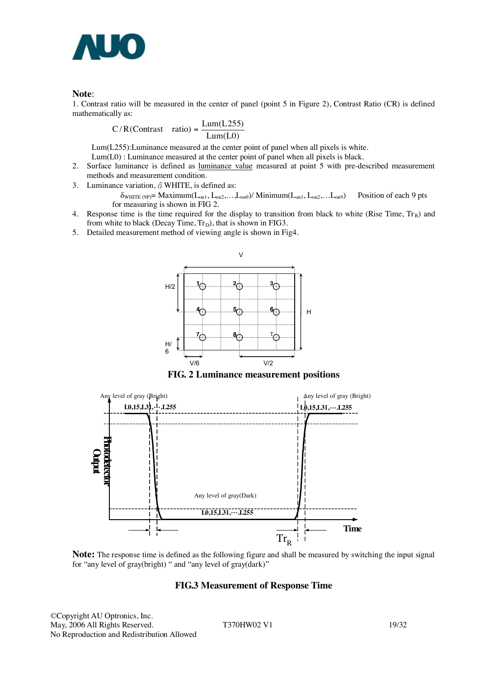

**Note:**<br>1. Contrast ratio will be measured in the center of panel (point 5 in Figure 2), Contrast Ratio (CR) is defined mathematically as:

$$
C/R (Contrast ratio) = \frac{Lum(L255)}{Lum(L0)}
$$

Lum(L255):Luminance measured at the center point of panel when all pixels is white.

- Lum(L0) : Luminance measured at the center point of panel when all pixels is black.
- 2. Surface luminance is defined as luminance value measured at point 5 with pre-described measurement methods and measurement condition.
- 3. Luminance variation,  $\delta$  WHITE, is defined as:

 $\delta_{\text{WHITE (9P)}} = \text{Maximum}(L_{on1}, L_{on2}, \ldots, L_{on9}) / \text{Minimum}(L_{on1}, L_{on2}, \ldots, L_{on9})$  Position of each 9 pts for measuring is shown in FIG 2.

- 4. Response time is the time required for the display to transition from black to white (Rise Time,  $Tr_R$ ) and from white to black (Decay Time,  $Tr_D$ ), that is shown in FIG3.
- 5. Detailed measurement method of viewing angle is shown in Fig4.



**FIG. 2 Luminance measurement positions** 



**Note:** The response time is defined as the following figure and shall be measured by switching the input signal for "any level of gray(bright) " and "any level of gray(dark)"

#### **FIG.3 Measurement of Response Time**

©Copyright AU Optronics, Inc. May, 2006 All Rights Reserved. T370HW02 V1 19/32 No Reproduction and Redistribution Allowed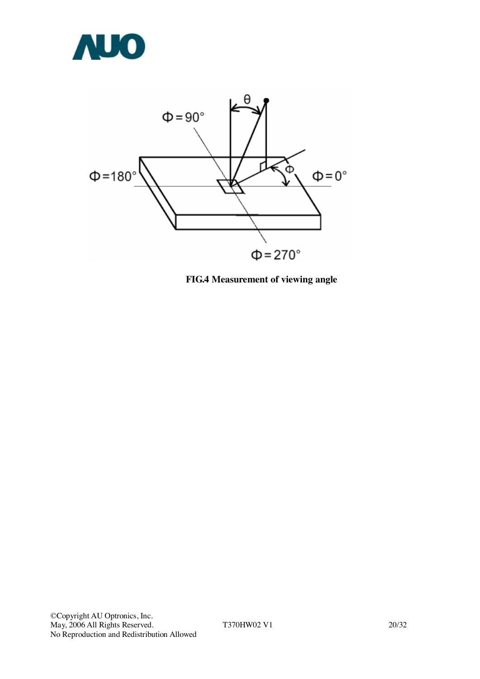



**FIG.4 Measurement of viewing angle**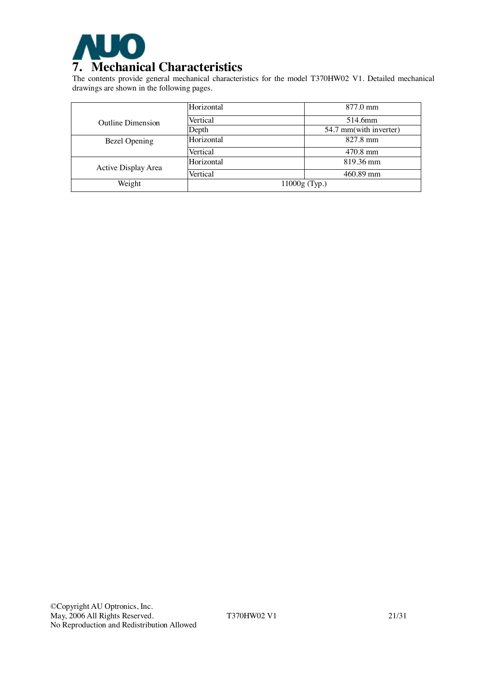

The contents provide general mechanical characteristics for the model T370HW02 V1. Detailed mechanical drawings are shown in the following pages.

|                          | Horizontal | $877.0 \text{ mm}$     |  |
|--------------------------|------------|------------------------|--|
| <b>Outline Dimension</b> | Vertical   | 514.6mm                |  |
|                          | Depth      | 54.7 mm(with inverter) |  |
| Bezel Opening            | Horizontal | $827.8 \text{ mm}$     |  |
|                          | Vertical   | 470.8 mm               |  |
| Active Display Area      | Horizontal | 819.36 mm              |  |
|                          | Vertical   | 460.89 mm              |  |
| Weight                   |            | $11000g$ (Typ.)        |  |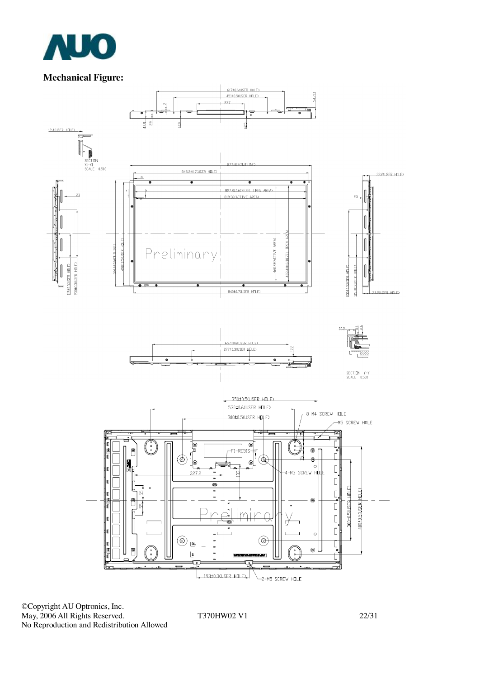

## **Mechanical Figure:**



©Copyright AU Optronics, Inc. May, 2006 All Rights Reserved. T370HW02 V1 22/31 No Reproduction and Redistribution Allowed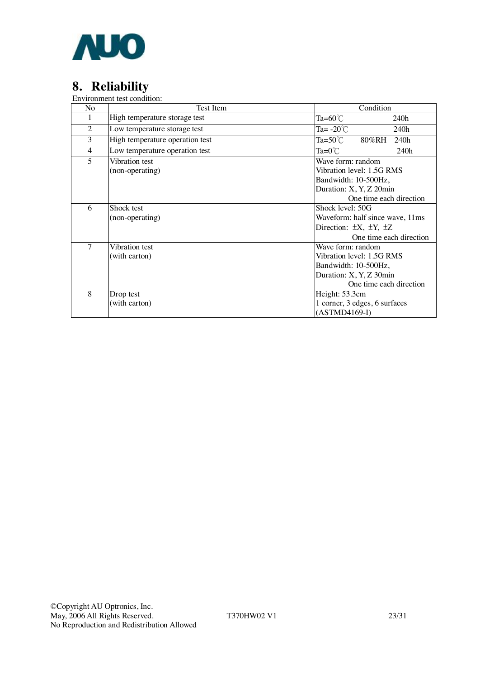

# **8. Reliability**

Environment test condition:

| No             | Test Item                                                                                                                                                 | Condition                                                                                                                    |  |  |
|----------------|-----------------------------------------------------------------------------------------------------------------------------------------------------------|------------------------------------------------------------------------------------------------------------------------------|--|--|
| 1              | High temperature storage test                                                                                                                             | Ta= $60^{\circ}$ C<br>240h                                                                                                   |  |  |
| $\overline{2}$ | Low temperature storage test                                                                                                                              | Ta= $-20^{\circ}$ C<br>240h                                                                                                  |  |  |
| 3              | High temperature operation test                                                                                                                           | $Ta=50^{\circ}C$<br>80%RH<br>240h                                                                                            |  |  |
| $\overline{4}$ | Low temperature operation test                                                                                                                            | $Ta=0^{\circ}C$<br>240h                                                                                                      |  |  |
| 5              | Vibration test<br>(non-operating)                                                                                                                         | Wave form: random<br>Vibration level: 1.5G RMS<br>Bandwidth: 10-500Hz,<br>Duration: X, Y, Z 20min<br>One time each direction |  |  |
| 6              | Shock level: 50G<br>Shock test<br>Waveform: half since wave, 11ms<br>(non-operating)<br>Direction: $\pm X$ , $\pm Y$ , $\pm Z$<br>One time each direction |                                                                                                                              |  |  |
| $\overline{7}$ | Vibration test<br>(with carton)                                                                                                                           | Wave form: random<br>Vibration level: 1.5G RMS<br>Bandwidth: 10-500Hz,<br>Duration: X, Y, Z 30min<br>One time each direction |  |  |
| 8              | Height: 53.3cm<br>Drop test<br>1 corner, 3 edges, 6 surfaces<br>(with carton)<br>$(ASTMD4169-I)$                                                          |                                                                                                                              |  |  |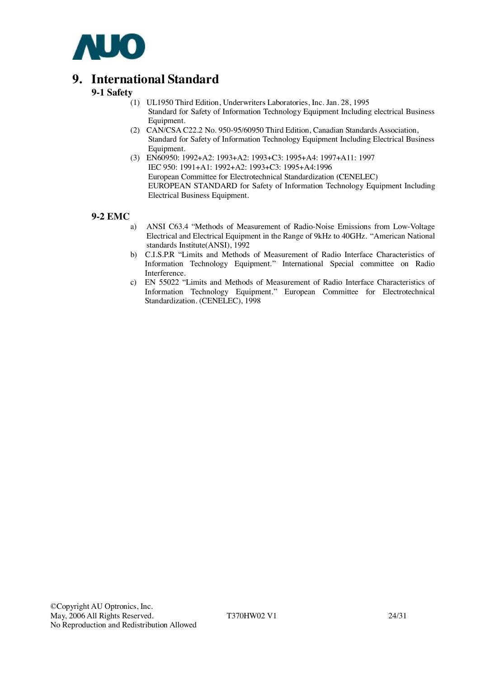

## **9. International Standard**

#### **9-1 Safety**

- (1) UL1950 Third Edition, Underwriters Laboratories, Inc. Jan. 28, 1995 Standard for Safety of Information Technology Equipment Including electrical Business Equipment.
- (2) CAN/CSA C22.2 No. 950-95/60950 Third Edition, Canadian Standards Association, Standard for Safety of Information Technology Equipment Including Electrical Business Equipment.
- (3) EN60950: 1992+A2: 1993+A2: 1993+C3: 1995+A4: 1997+A11: 1997 IEC 950: 1991+A1: 1992+A2: 1993+C3: 1995+A4:1996 European Committee for Electrotechnical Standardization (CENELEC) EUROPEAN STANDARD for Safety of Information Technology Equipment Including Electrical Business Equipment.

#### **9-2 EMC**

- a) ANSI C63.4 "Methods of Measurement of Radio-Noise Emissions from Low-Voltage Electrical and Electrical Equipment in the Range of 9kHz to 40GHz. "American National standards Institute(ANSI), 1992
- b) C.I.S.P.R "Limits and Methods of Measurement of Radio Interface Characteristics of Information Technology Equipment." International Special committee on Radio Interference.
- c) EN 55022 "Limits and Methods of Measurement of Radio Interface Characteristics of Information Technology Equipment." European Committee for Electrotechnical Standardization. (CENELEC), 1998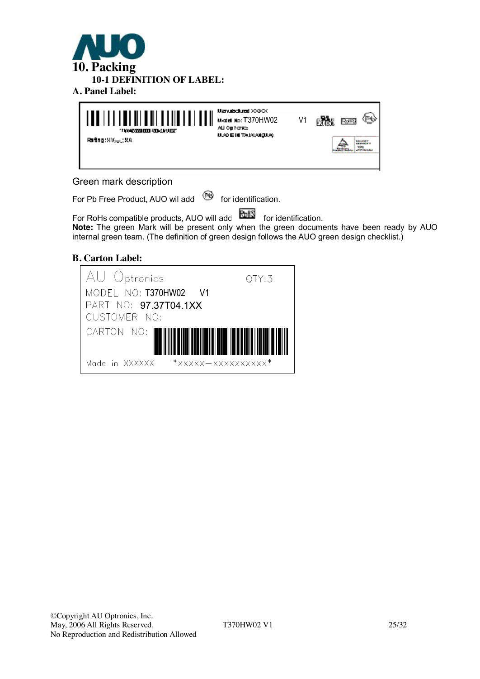



#### Green mark description

For Pb Free Product, AUO wil add  $\bullet$  for identification.

For RoHs compatible products, AUO will add **FORM** for identification. **Note:** The green Mark will be present only when the green documents have been ready by AUO internal green team. (The definition of green design follows the AUO green design checklist.)

#### **B. Carton Label:**

| AU Optronics                                             | QTY:3 |
|----------------------------------------------------------|-------|
| MODEL NO: T370HW02 V1                                    |       |
| PART NO: 97.37T04.1XX                                    |       |
| CUSTOMER NO:                                             |       |
| CARTON NO:                                               |       |
| $*_{\text{XXXXX}-\text{XXXXXXXXXXX}}*$<br>Made in XXXXXX |       |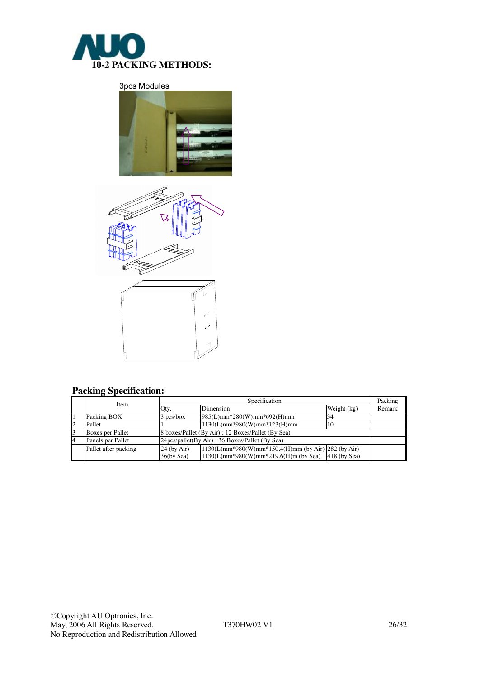

3pcs Modules





## **Packing Specification:**

|    | Item                 | Specification                                      |                                                       |             |        |  |
|----|----------------------|----------------------------------------------------|-------------------------------------------------------|-------------|--------|--|
|    |                      | Qty.                                               | Dimension                                             | Weight (kg) | Remark |  |
|    | Packing BOX          | $3$ pcs/box                                        | $985(L)$ mm*280(W)mm*692(H)mm                         |             |        |  |
| 12 | Pallet               |                                                    | $1130(L)mm*980(W)mm*123(H)mm$                         | 10          |        |  |
| 3  | Boxes per Pallet     | 8 boxes/Pallet (By Air) ; 12 Boxes/Pallet (By Sea) |                                                       |             |        |  |
| 4  | Panels per Pallet    |                                                    | 24pcs/pallet(By Air); 36 Boxes/Pallet (By Sea)        |             |        |  |
|    | Pallet after packing | $24$ (by Air)                                      | 1130(L)mm*980(W)mm*150.4(H)mm (by Air) 282 (by Air)   |             |        |  |
|    |                      | $36$ (by Sea)                                      | $1130(L)$ mm*980(W)mm*219.6(H)m (by Sea) 418 (by Sea) |             |        |  |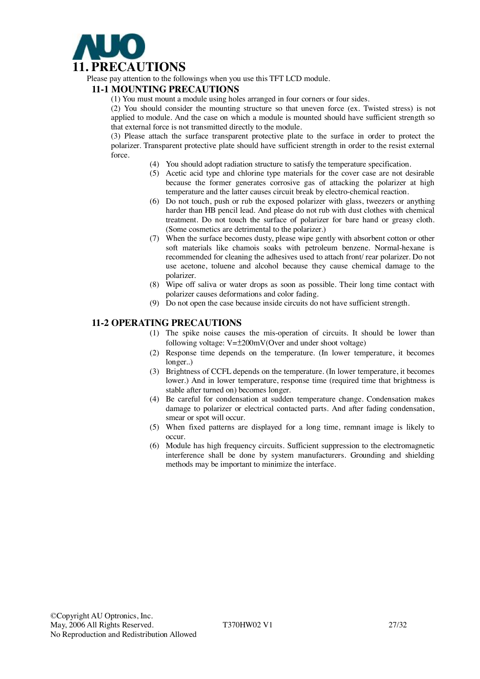

Please pay attention to the followings when you use this TFT LCD module.

#### **11-1 MOUNTING PRECAUTIONS**

(1) You must mount a module using holes arranged in four corners or four sides.

(2) You should consider the mounting structure so that uneven force (ex. Twisted stress) is not applied to module. And the case on which a module is mounted should have sufficient strength so that external force is not transmitted directly to the module.

(3) Please attach the surface transparent protective plate to the surface in order to protect the polarizer. Transparent protective plate should have sufficient strength in order to the resist external force.

- (4) You should adopt radiation structure to satisfy the temperature specification.
- (5) Acetic acid type and chlorine type materials for the cover case are not desirable because the former generates corrosive gas of attacking the polarizer at high temperature and the latter causes circuit break by electro-chemical reaction.
- (6) Do not touch, push or rub the exposed polarizer with glass, tweezers or anything harder than HB pencil lead. And please do not rub with dust clothes with chemical treatment. Do not touch the surface of polarizer for bare hand or greasy cloth. (Some cosmetics are detrimental to the polarizer.)
- (7) When the surface becomes dusty, please wipe gently with absorbent cotton or other soft materials like chamois soaks with petroleum benzene. Normal-hexane is recommended for cleaning the adhesives used to attach front/ rear polarizer. Do not use acetone, toluene and alcohol because they cause chemical damage to the polarizer.
- (8) Wipe off saliva or water drops as soon as possible. Their long time contact with polarizer causes deformations and color fading.
- (9) Do not open the case because inside circuits do not have sufficient strength.

#### **11-2 OPERATING PRECAUTIONS**

- (1) The spike noise causes the mis-operation of circuits. It should be lower than following voltage:  $V=\pm 200$ mV(Over and under shoot voltage)
- (2) Response time depends on the temperature. (In lower temperature, it becomes longer..)
- (3) Brightness of CCFL depends on the temperature. (In lower temperature, it becomes lower.) And in lower temperature, response time (required time that brightness is stable after turned on) becomes longer.
- (4) Be careful for condensation at sudden temperature change. Condensation makes damage to polarizer or electrical contacted parts. And after fading condensation, smear or spot will occur.
- (5) When fixed patterns are displayed for a long time, remnant image is likely to occur.
- (6) Module has high frequency circuits. Sufficient suppression to the electromagnetic interference shall be done by system manufacturers. Grounding and shielding methods may be important to minimize the interface.